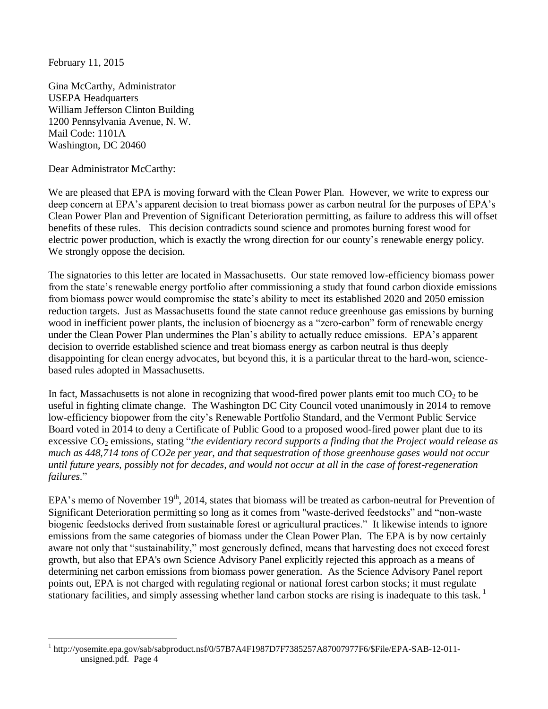February 11, 2015

 $\overline{a}$ 

Gina McCarthy, Administrator USEPA Headquarters William Jefferson Clinton Building 1200 Pennsylvania Avenue, N. W. Mail Code: 1101A Washington, DC 20460

Dear Administrator McCarthy:

We are pleased that EPA is moving forward with the Clean Power Plan. However, we write to express our deep concern at EPA's apparent decision to treat biomass power as carbon neutral for the purposes of EPA's Clean Power Plan and Prevention of Significant Deterioration permitting, as failure to address this will offset benefits of these rules. This decision contradicts sound science and promotes burning forest wood for electric power production, which is exactly the wrong direction for our county's renewable energy policy. We strongly oppose the decision.

The signatories to this letter are located in Massachusetts. Our state removed low-efficiency biomass power from the state's renewable energy portfolio after commissioning a study that found carbon dioxide emissions from biomass power would compromise the state's ability to meet its established 2020 and 2050 emission reduction targets. Just as Massachusetts found the state cannot reduce greenhouse gas emissions by burning wood in inefficient power plants, the inclusion of bioenergy as a "zero-carbon" form of renewable energy under the Clean Power Plan undermines the Plan's ability to actually reduce emissions. EPA's apparent decision to override established science and treat biomass energy as carbon neutral is thus deeply disappointing for clean energy advocates, but beyond this, it is a particular threat to the hard-won, sciencebased rules adopted in Massachusetts.

In fact, Massachusetts is not alone in recognizing that wood-fired power plants emit too much  $CO<sub>2</sub>$  to be useful in fighting climate change. The Washington DC City Council voted unanimously in 2014 to remove low-efficiency biopower from the city's Renewable Portfolio Standard, and the Vermont Public Service Board voted in 2014 to deny a Certificate of Public Good to a proposed wood-fired power plant due to its excessive CO<sub>2</sub> emissions, stating "*the evidentiary record supports a finding that the Project would release as much as 448,714 tons of CO2e per year, and that sequestration of those greenhouse gases would not occur until future years, possibly not for decades, and would not occur at all in the case of forest-regeneration failures*."

EPA's memo of November  $19<sup>th</sup>$ , 2014, states that biomass will be treated as carbon-neutral for Prevention of Significant Deterioration permitting so long as it comes from "waste-derived feedstocks" and "non-waste biogenic feedstocks derived from sustainable forest or agricultural practices." It likewise intends to ignore emissions from the same categories of biomass under the Clean Power Plan. The EPA is by now certainly aware not only that "sustainability," most generously defined, means that harvesting does not exceed forest growth, but also that EPA's own Science Advisory Panel explicitly rejected this approach as a means of determining net carbon emissions from biomass power generation. As the Science Advisory Panel report points out, EPA is not charged with regulating regional or national forest carbon stocks; it must regulate stationary facilities, and simply assessing whether land carbon stocks are rising is inadequate to this task.<sup>1</sup>

<sup>1</sup> http://yosemite.epa.gov/sab/sabproduct.nsf/0/57B7A4F1987D7F7385257A87007977F6/\$File/EPA-SAB-12-011 unsigned.pdf. Page 4